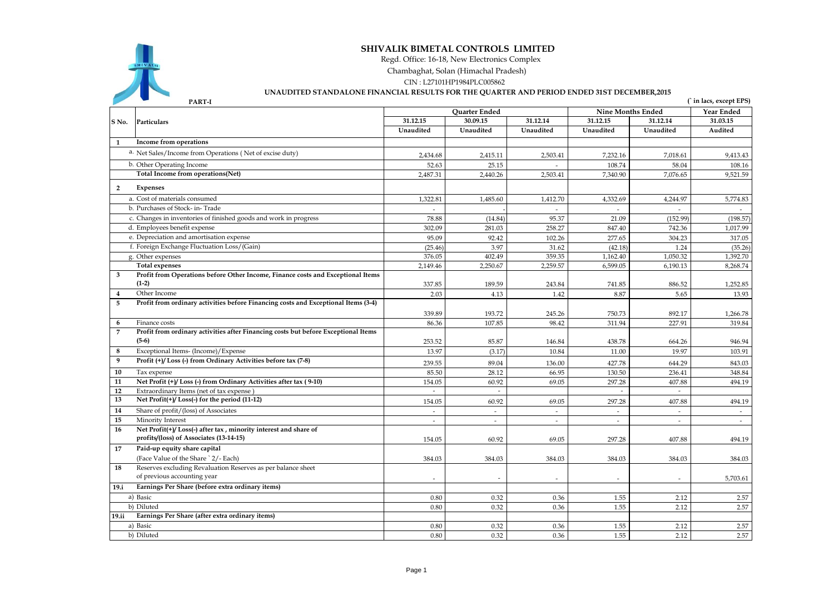

## **SHIVALIK BIMETAL CONTROLS LIMITED**

Regd. Office: 16-18, New Electronics Complex

Chambaghat, Solan (Himachal Pradesh)

CIN : L27101HP1984PLC005862

## **UNAUDITED STANDALONE FINANCIAL RESULTS FOR THE QUARTER AND PERIOD ENDED 31ST DECEMBER,2015**

|                  | PART-I                                                                             |                |                      |           |                          |                | (in lacs, except EPS) |
|------------------|------------------------------------------------------------------------------------|----------------|----------------------|-----------|--------------------------|----------------|-----------------------|
|                  | Particulars                                                                        |                | <b>Ouarter Ended</b> |           | <b>Nine Months Ended</b> |                | Year Ended            |
| S No.            |                                                                                    | 31.12.15       | 30.09.15             | 31.12.14  | 31.12.15<br>31.12.14     |                | 31.03.15              |
|                  |                                                                                    | Unaudited      | Unaudited            | Unaudited | Unaudited                | Unaudited      | Audited               |
| $\mathbf{1}$     | Income from operations                                                             |                |                      |           |                          |                |                       |
|                  | a. Net Sales/Income from Operations (Net of excise duty)                           | 2,434.68       | 2,415.11             | 2,503.41  | 7,232.16                 | 7,018.61       | 9,413.43              |
|                  | b. Other Operating Income                                                          | 52.63          | 25.15                |           | 108.74                   | 58.04          | 108.16                |
|                  | Total Income from operations(Net)                                                  | 2,487.31       | 2,440.26             | 2,503.41  | 7,340.90                 | 7,076.65       | 9,521.59              |
| $\overline{2}$   | <b>Expenses</b>                                                                    |                |                      |           |                          |                |                       |
|                  | a. Cost of materials consumed                                                      | 1,322.81       | 1,485.60             | 1,412.70  | 4,332.69                 | 4,244.97       | 5,774.83              |
|                  | b. Purchases of Stock- in-Trade                                                    | L.             |                      |           | $\sim$                   | $\mathbf{r}$   | ÷.                    |
|                  | c. Changes in inventories of finished goods and work in progress                   | 78.88          | (14.84)              | 95.37     | 21.09                    | (152.99)       | (198.57)              |
|                  | d. Employees benefit expense                                                       | 302.09         | 281.03               | 258.27    | 847.40                   | 742.36         | 1.017.99              |
|                  | e. Depreciation and amortisation expense                                           | 95.09          | 92.42                | 102.26    | 277.65                   | 304.23         | 317.05                |
|                  | f. Foreign Exchange Fluctuation Loss/(Gain)                                        | (25.46)        | 3.97                 | 31.62     | (42.18)                  | 1.24           | (35.26)               |
|                  | g. Other expenses                                                                  | 376.05         | 402.49               | 359.35    | 1,162.40                 | 1,050.32       | 1,392.70              |
|                  | <b>Total expenses</b>                                                              | 2,149.46       | 2,250.67             | 2,259.57  | 6,599.05                 | 6,190.13       | 8,268.74              |
| 3                | Profit from Operations before Other Income, Finance costs and Exceptional Items    |                |                      |           |                          |                |                       |
|                  | $(1-2)$                                                                            | 337.85         | 189.59               | 243.84    | 741.85                   | 886.52         | 1,252.85              |
| $\overline{4}$   | Other Income                                                                       | 2.03           | 4.13                 | 1.42      | 8.87                     | 5.65           | 13.93                 |
| 5                | Profit from ordinary activities before Financing costs and Exceptional Items (3-4) |                |                      |           |                          |                |                       |
|                  |                                                                                    | 339.89         | 193.72               | 245.26    | 750.73                   | 892.17         | 1,266.78              |
| 6                | Finance costs                                                                      | 86.36          | 107.85               | 98.42     | 311.94                   | 227.91         | 319.84                |
| 7                | Profit from ordinary activities after Financing costs but before Exceptional Items |                |                      |           |                          |                |                       |
|                  | $(5-6)$                                                                            | 253.52         | 85.87                | 146.84    | 438.78                   | 664.26         | 946.94                |
| 8                | Exceptional Items- (Income)/Expense                                                | 13.97          | (3.17)               | 10.84     | 11.00                    | 19.97          | 103.91                |
| $\boldsymbol{9}$ | Profit (+)/Loss (-) from Ordinary Activities before tax (7-8)                      | 239.55         | 89.04                | 136.00    | 427.78                   | 644.29         | 843.03                |
| 10               | Tax expense                                                                        | 85.50          | 28.12                | 66.95     | 130.50                   | 236.41         | 348.84                |
| 11               | Net Profit (+)/Loss (-) from Ordinary Activities after tax (9-10)                  | 154.05         | 60.92                | 69.05     | 297.28                   | 407.88         | 494.19                |
| 12               | Extraordinary Items (net of tax expense)                                           |                |                      |           |                          |                |                       |
| 13               | Net Profit(+)/Loss(-) for the period (11-12)                                       | 154.05         | 60.92                | 69.05     | 297.28                   | 407.88         | 494.19                |
| 14               | Share of profit/(loss) of Associates                                               |                |                      |           |                          |                |                       |
| 15               | Minority Interest                                                                  | $\overline{a}$ | $\sim$               | $\sim$    | $\sim$                   | $\overline{a}$ | $\sim$                |
| 16               | Net Profit(+)/Loss(-) after tax, minority interest and share of                    |                |                      |           |                          |                |                       |
|                  | profits/(loss) of Associates (13-14-15)                                            | 154.05         | 60.92                | 69.05     | 297.28                   | 407.88         | 494.19                |
| 17               | Paid-up equity share capital                                                       |                |                      |           |                          |                |                       |
|                  | (Face Value of the Share ` 2/- Each)                                               | 384.03         | 384.03               | 384.03    | 384.03                   | 384.03         | 384.03                |
| 18               | Reserves excluding Revaluation Reserves as per balance sheet                       |                |                      |           |                          |                |                       |
|                  | of previous accounting year                                                        |                |                      |           |                          |                | 5,703.61              |
| 19.i             | Earnings Per Share (before extra ordinary items)                                   |                |                      |           |                          |                |                       |
|                  | a) Basic                                                                           | 0.80           | 0.32                 | 0.36      | 1.55                     | 2.12           | 2.57                  |
|                  | b) Diluted                                                                         | 0.80           | 0.32                 | 0.36      | 1.55                     | 2.12           | 2.57                  |
| 19.ii            | Earnings Per Share (after extra ordinary items)                                    |                |                      |           |                          |                |                       |
|                  | a) Basic                                                                           | 0.80           | 0.32                 | 0.36      | 1.55                     | 2.12           | 2.57                  |
|                  | b) Diluted                                                                         | 0.80           | 0.32                 | 0.36      | 1.55                     | 2.12           | 2.57                  |